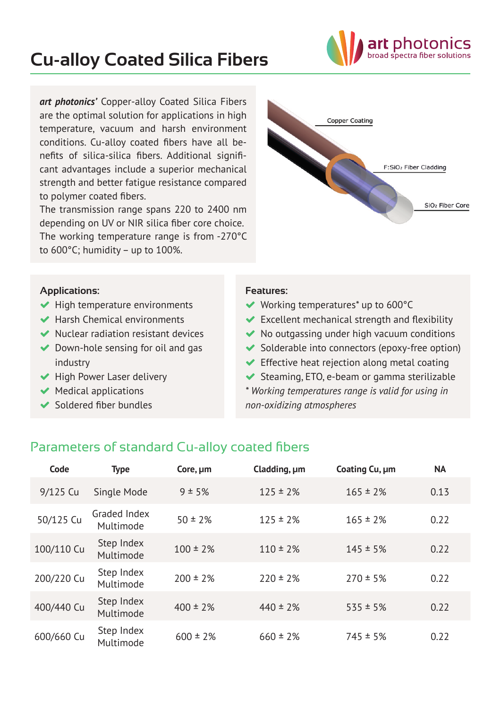# **Cu-alloy Coated Silica Fibers**



The transmission range spans 220 to 2400 nm depending on UV or NIR silica fiber core choice. The working temperature range is from -270°C to 600°C; humidity – up to 100%.



t photon oad spectra fiber solutions

#### **Applications:**

- $\blacktriangleright$  High temperature environments
- $\blacktriangleright$  Harsh Chemical environments
- $\blacktriangleright$  Nuclear radiation resistant devices
- $\blacktriangleright$  Down-hole sensing for oil and gas industry
- $\blacktriangleright$  High Power Laser delivery
- $\blacktriangleright$  Medical applications
- $\blacktriangleright$  Soldered fiber bundles

#### **Features:**

- ◆ Working temperatures<sup>\*</sup> up to 600°C
- $\blacktriangleright$  Excellent mechanical strength and flexibility
- $\blacktriangleright$  No outgassing under high vacuum conditions
- $\blacktriangleright$  Solderable into connectors (epoxy-free option)
- $\blacktriangleright$  Effective heat rejection along metal coating
- $\blacktriangleright$  Steaming, ETO, e-beam or gamma sterilizable

*\* Working temperatures range is valid for using in non-oxidizing atmospheres*

### Parameters of standard Cu-alloy coated fibers

| Code       | <b>Type</b>               | Core, um      | Cladding, um  | Coating Cu, µm | <b>NA</b> |
|------------|---------------------------|---------------|---------------|----------------|-----------|
| 9/125 Cu   | Single Mode               | 9 ± 5%        | $125 \pm 2\%$ | $165 \pm 2\%$  | 0.13      |
| 50/125 Cu  | Graded Index<br>Multimode | $50 \pm 2\%$  | $125 \pm 2\%$ | $165 \pm 2\%$  | 0.22      |
| 100/110 Cu | Step Index<br>Multimode   | $100 \pm 2\%$ | $110 \pm 2\%$ | $145 \pm 5\%$  | 0.22      |
| 200/220 Cu | Step Index<br>Multimode   | $200 \pm 2\%$ | $220 \pm 2\%$ | $270 \pm 5\%$  | 0.22      |
| 400/440 Cu | Step Index<br>Multimode   | $400 \pm 2\%$ | $440 \pm 2\%$ | $535 \pm 5\%$  | 0.22      |
| 600/660 Cu | Step Index<br>Multimode   | $600 \pm 2\%$ | $660 \pm 2\%$ | $745 \pm 5\%$  | 0.22      |